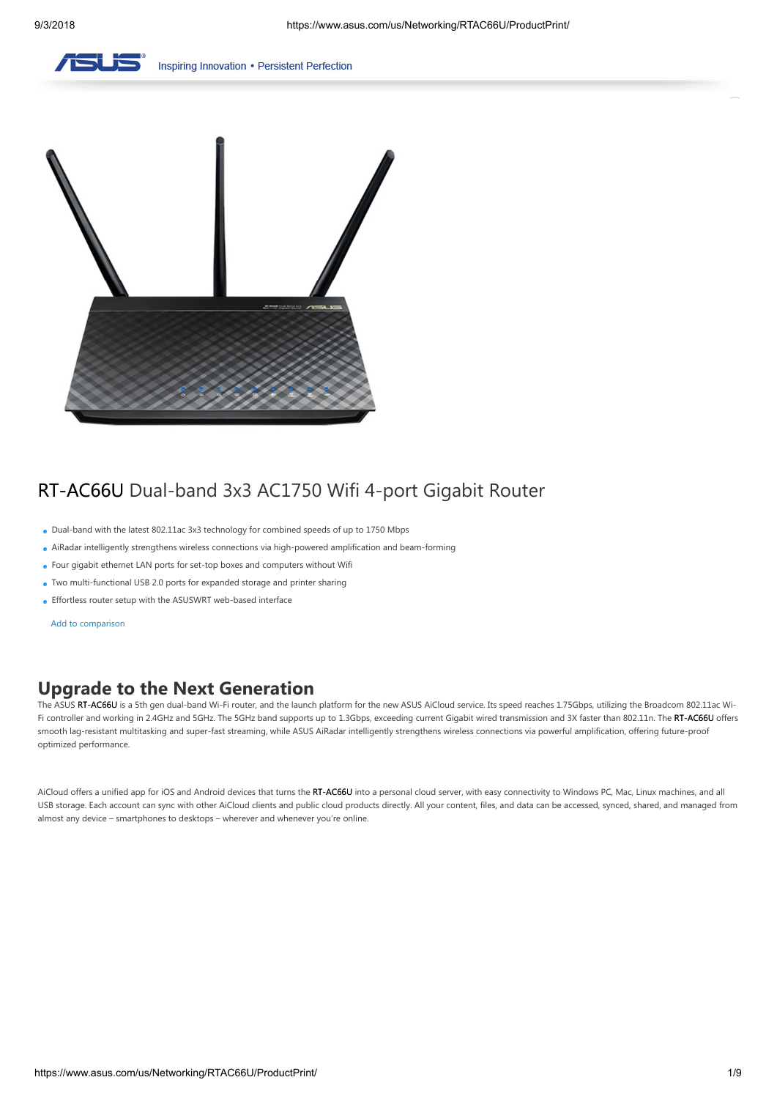

Inspiring Innovation . Persistent Perfection



# RT-AC66U Dual-band 3x3 AC1750 Wifi 4-port Gigabit Router

- Dual-band with the latest 802.11ac 3x3 technology for combined speeds of up to 1750 Mbps
- AiRadar intelligently strengthens wireless connections via high-powered amplification and beam-forming
- Four gigabit ethernet LAN ports for set-top boxes and computers without Wifi
- Two multi-functional USB 2.0 ports for expanded storage and printer sharing
- Effortless router setup with the ASUSWRT web-based interface

Add to comparison

# **Upgrade to the Next Generation**

The ASUS RT-AC66U is a 5th gen dual-band Wi-Fi router, and the launch platform for the new ASUS AiCloud service. Its speed reaches 1.75Gbps, utilizing the Broadcom 802.11ac Wi-Fi controller and working in 2.4GHz and 5GHz. The 5GHz band supports up to 1.3Gbps, exceeding current Gigabit wired transmission and 3X faster than 802.11n. The RT-AC66U offers smooth lag-resistant multitasking and super-fast streaming, while ASUS AiRadar intelligently strengthens wireless connections via powerful amplification, offering future-proof optimized performance.

AiCloud offers a unified app for iOS and Android devices that turns the RT-AC66U into a personal cloud server, with easy connectivity to Windows PC, Mac, Linux machines, and all USB storage. Each account can sync with other AiCloud clients and public cloud products directly. All your content, files, and data can be accessed, synced, shared, and managed from almost any device – smartphones to desktops – wherever and whenever you're online.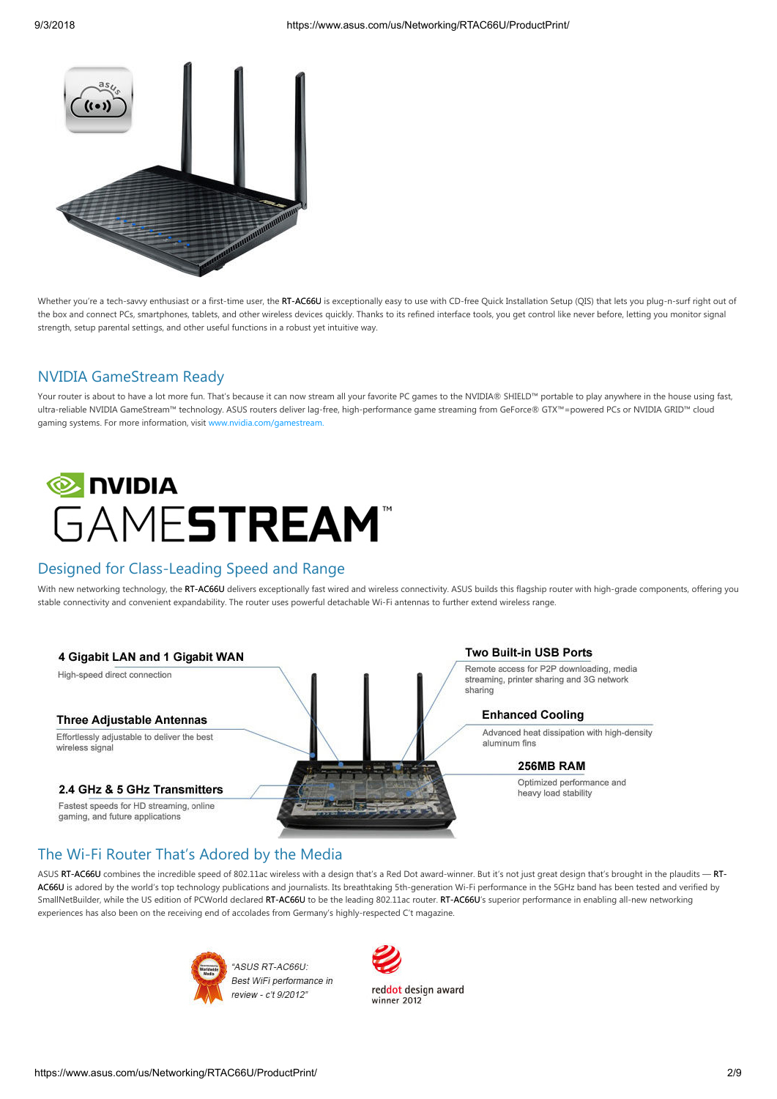

Whether you're a tech-savvy enthusiast or a first-time user, the RT-AC66U is exceptionally easy to use with CD-free Quick Installation Setup (QIS) that lets you plug-n-surf right out of the box and connect PCs, smartphones, tablets, and other wireless devices quickly. Thanks to its refined interface tools, you get control like never before, letting you monitor signal strength, setup parental settings, and other useful functions in a robust yet intuitive way.

## NVIDIA GameStream Ready

Your router is about to have a lot more fun. That's because it can now stream all your favorite PC games to the NVIDIA® SHIELD™ portable to play anywhere in the house using fast, ultra-reliable NVIDIA GameStream™ technology. ASUS routers deliver lag-free, high-performance game streaming from GeForce® GTX™=powered PCs or NVIDIA GRID™ cloud gaming systems. For more information, visit [www.nvidia.com/gamestream.](http://shield.nvidia.com/accessories-hardware)



## Designed for Class-Leading Speed and Range

With new networking technology, the RT-AC66U delivers exceptionally fast wired and wireless connectivity. ASUS builds this flagship router with high-grade components, offering you stable connectivity and convenient expandability. The router uses powerful detachable Wi-Fi antennas to further extend wireless range.

#### 4 Gigabit LAN and 1 Gigabit WAN

High-speed direct connection

#### **Three Adjustable Antennas**

Effortlessly adjustable to deliver the best wireless signa

#### 2.4 GHz & 5 GHz Transmitters

Fastest speeds for HD streaming, online gaming, and future applications

#### **Two Built-in USB Ports**

Remote access for P2P downloading, media streaming, printer sharing and 3G network sharing

#### **Enhanced Cooling**

Advanced heat dissipation with high-density aluminum fins

#### 256MB RAM

Ontimized performance and heavy load stability

## The Wi-Fi Router That's Adored by the Media

ASUS RT-AC66U combines the incredible speed of 802.11ac wireless with a design that's a Red Dot award-winner. But it's not just great design that's brought in the plaudits -- RT-AC66U is adored by the world's top technology publications and journalists. Its breathtaking 5th-generation Wi-Fi performance in the 5GHz band has been tested and verified by SmallNetBuilder, while the US edition of PCWorld declared RT-AC66U to be the leading 802.11ac router. RT-AC66U's superior performance in enabling all-new networking experiences has also been on the receiving end of accolades from Germany's highly-respected C't magazine.



"ASUS RT-AC66U: Best WiFi performance in review - c't 9/2012"

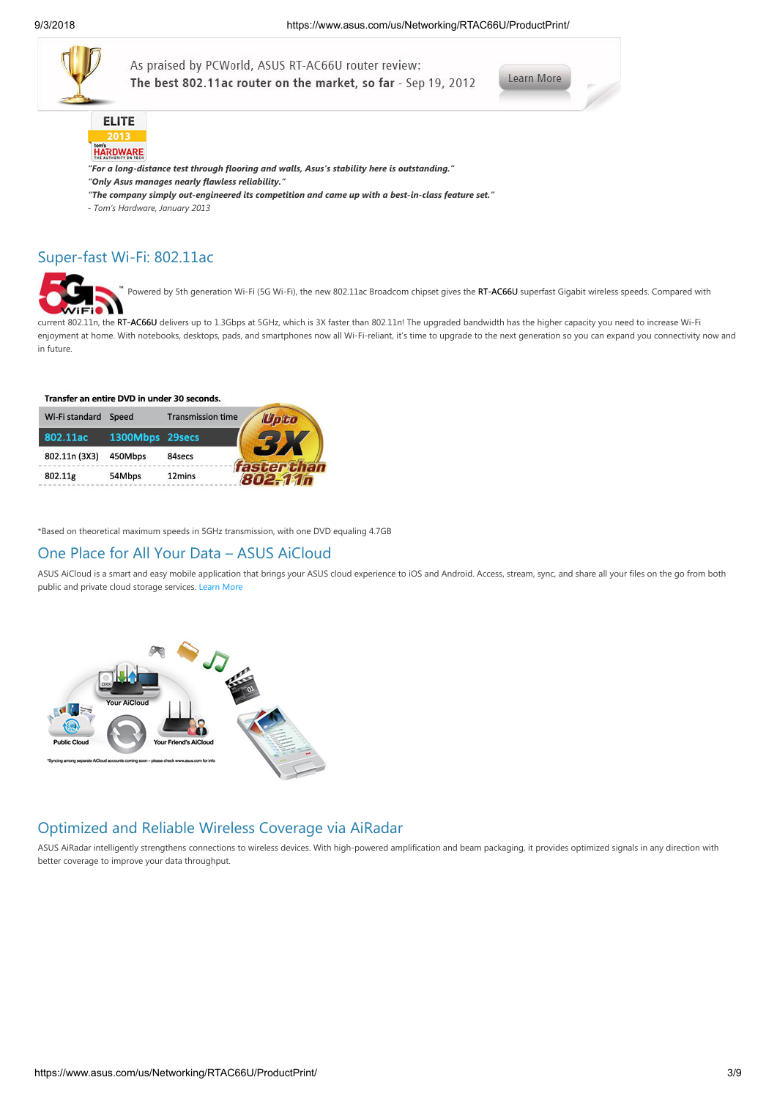

As praised by PCWorld, ASUS RT-AC66U router review: The best 802.11ac router on the market, so far - Sep 19, 2012





- *"For a long-distance test through flooring and walls, Asus's stability here is outstanding."*
- *"Only Asus manages nearly flawless reliability."*
- *"The company simply out-engineered its competition and came up with a best-in-class feature set."*
- *Tom's Hardware, January 2013*

### Super-fast Wi-Fi: 802.11ac



Powered by 5th generation Wi-Fi (5G Wi-Fi), the new 802.11ac Broadcom chipset gives the RT-AC66U superfast Gigabit wireless speeds. Compared with

current 802.11n, the RT-AC66U delivers up to 1.3Gbps at 5GHz, which is 3X faster than 802.11n! The upgraded bandwidth has the higher capacity you need to increase Wi-Fi enjoyment at home. With notebooks, desktops, pads, and smartphones now all Wi-Fi-reliant, it's time to upgrade to the next generation so you can expand you connectivity now and in future.

#### Transfer an entire DVD in under 30 seconds.

| Wi-Fi standard | Speed           | <b>Transmission time</b> | Upto               |
|----------------|-----------------|--------------------------|--------------------|
| 802.11ac       | 1300Mbps 29secs |                          |                    |
| 802.11n (3X3)  | 450Mbps         | 84secs                   |                    |
| 802.11g        | 54Mbps          | 12mins                   | <b>faster than</b> |

\*Based on theoretical maximum speeds in 5GHz transmission, with one DVD equaling 4.7GB

### One Place for All Your Data – ASUS AiCloud

ASUS AiCloud is a smart and easy mobile application that brings your ASUS cloud experience to iOS and Android. Access, stream, sync, and share all your files on the go from both public and private cloud storage services. [Learn More](http://event.asus.com/2012/nw/aicloud/index.htm)



### Optimized and Reliable Wireless Coverage via AiRadar

ASUS AiRadar intelligently strengthens connections to wireless devices. With high-powered amplification and beam packaging, it provides optimized signals in any direction with better coverage to improve your data throughput.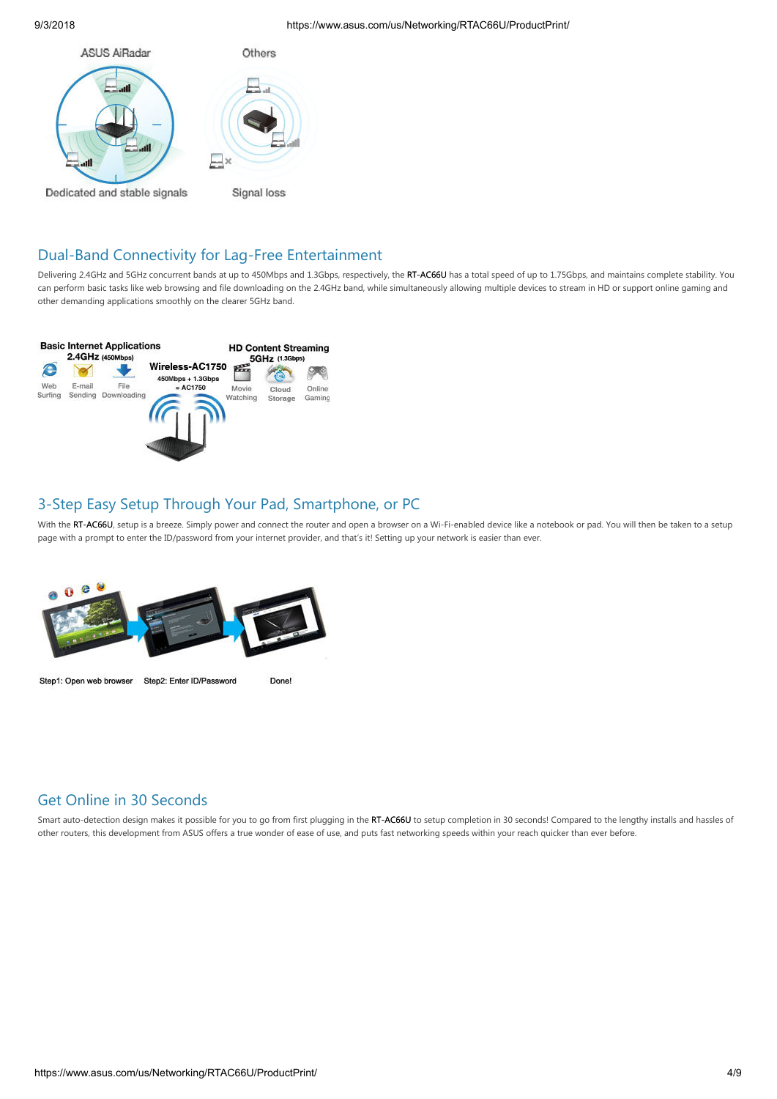

Signal loss

# Dual-Band Connectivity for Lag-Free Entertainment

Delivering 2.4GHz and 5GHz concurrent bands at up to 450Mbps and 1.3Gbps, respectively, the RT-AC66U has a total speed of up to 1.75Gbps, and maintains complete stability. You can perform basic tasks like web browsing and file downloading on the 2.4GHz band, while simultaneously allowing multiple devices to stream in HD or support online gaming and other demanding applications smoothly on the clearer 5GHz band.



# 3-Step Easy Setup Through Your Pad, Smartphone, or PC

With the RT-AC66U, setup is a breeze. Simply power and connect the router and open a browser on a Wi-Fi-enabled device like a notebook or pad. You will then be taken to a setup page with a prompt to enter the ID/password from your internet provider, and that's it! Setting up your network is easier than ever.



Step1: Open web browser Step2: Enter ID/Password

**Done!** 

# Get Online in 30 Seconds

Smart auto-detection design makes it possible for you to go from first plugging in the RT-AC66U to setup completion in 30 seconds! Compared to the lengthy installs and hassles of other routers, this development from ASUS offers a true wonder of ease of use, and puts fast networking speeds within your reach quicker than ever before.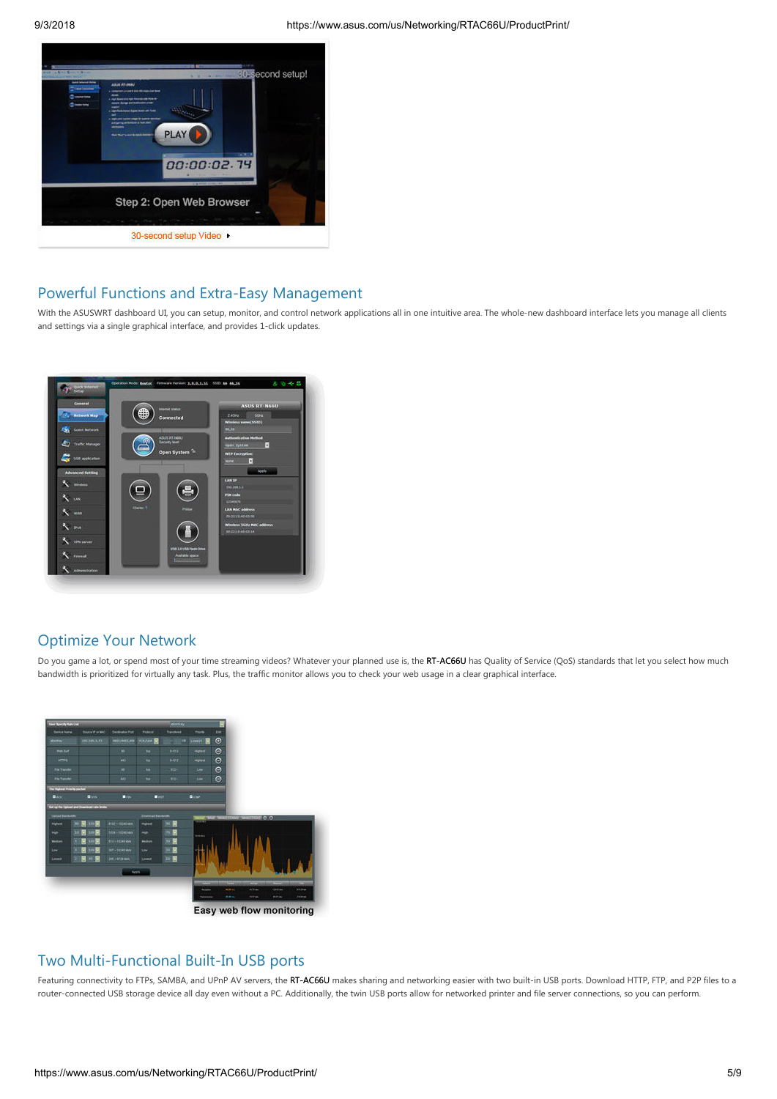

# Powerful Functions and Extra-Easy Management

With the ASUSWRT dashboard UI, you can setup, monitor, and control network applications all in one intuitive area. The whole-new dashboard interface lets you manage all clients and settings via a single graphical interface, and provides 1-click updates.



## Optimize Your Network

Do you game a lot, or spend most of your time streaming videos? Whatever your planned use is, the RT-AC66U has Quality of Service (QoS) standards that let you select how much bandwidth is prioritized for virtually any task. Plus, the traffic monitor allows you to check your web usage in a clear graphical interface.



## Two Multi-Functional Built-In USB ports

Featuring connectivity to FTPs, SAMBA, and UPnP AV servers, the RT-AC66U makes sharing and networking easier with two built-in USB ports. Download HTTP, FTP, and P2P files to a router-connected USB storage device all day even without a PC. Additionally, the twin USB ports allow for networked printer and file server connections, so you can perform.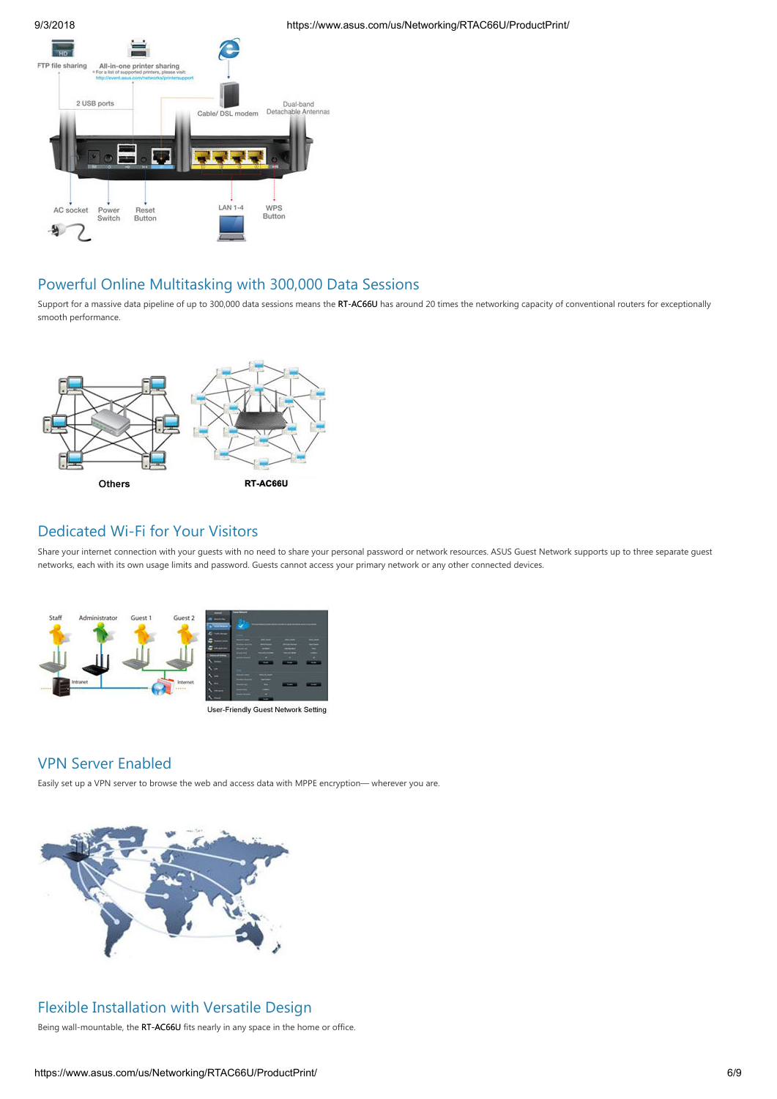

# Powerful Online Multitasking with 300,000 Data Sessions

Support for a massive data pipeline of up to 300,000 data sessions means the RT-AC66U has around 20 times the networking capacity of conventional routers for exceptionally smooth performance.



### Dedicated Wi-Fi for Your Visitors

Share your internet connection with your guests with no need to share your personal password or network resources. ASUS Guest Network supports up to three separate guest networks, each with its own usage limits and password. Guests cannot access your primary network or any other connected devices.





# VPN Server Enabled

Easily set up a VPN server to browse the web and access data with MPPE encryption— wherever you are.



# Flexible Installation with Versatile Design

Being wall-mountable, the RT-AC66U fits nearly in any space in the home or office.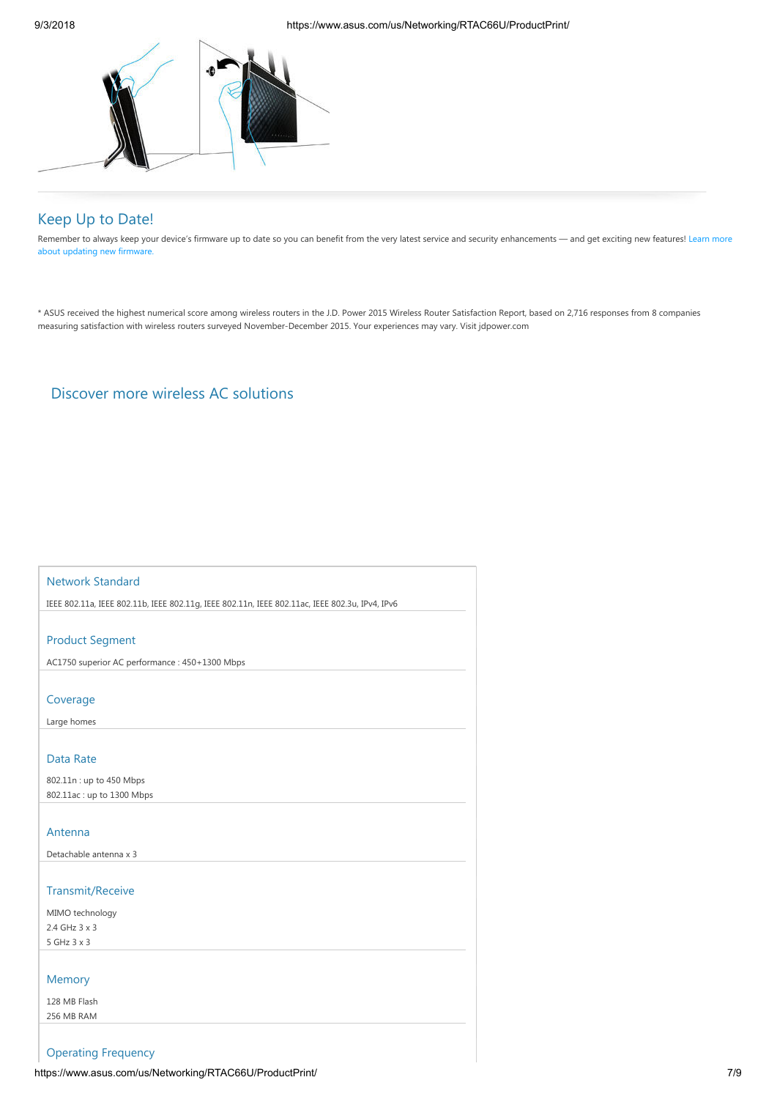

# Keep Up to Date!

[Remember to always keep your device's firmware up to date so you can benefit from the very latest service and security enhancements — and get exciting new features! Learn more](http://www.asus.com/Microsite/2015/networks/routerfirmware_update/global/) about updating new firmware.

\* ASUS received the highest numerical score among wireless routers in the J.D. Power 2015 Wireless Router Satisfaction Report, based on 2,716 responses from 8 companies measuring satisfaction with wireless routers surveyed November-December 2015. Your experiences may vary. Visit jdpower.com

# [Discover more wireless AC solutions](http://www.asus.com/event/2014/network/ASUS_AC_family_chart/solutions.html)

### Network Standard

IEEE 802.11a, IEEE 802.11b, IEEE 802.11g, IEEE 802.11n, IEEE 802.11ac, IEEE 802.3u, IPv4, IPv6

#### Product Segment

AC1750 superior AC performance : 450+1300 Mbps

#### Coverage

Large homes

#### Data Rate

802.11n : up to 450 Mbps 802.11ac : up to 1300 Mbps

#### Antenna

Detachable antenna x 3

#### Transmit/Receive

MIMO technology 2.4 GHz 3 x 3 5 GHz 3 x 3

### Memory

128 MB Flash 256 MB RAM

### Operating Frequency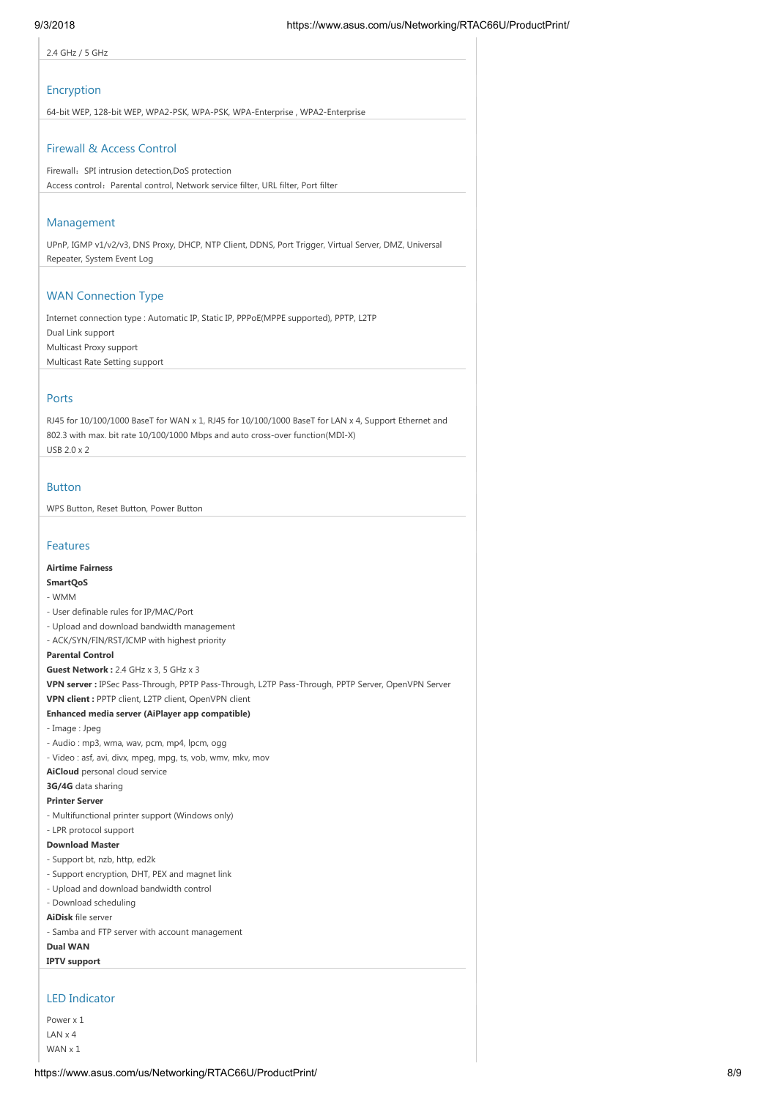2.4 GHz / 5 GHz

#### Encryption

64-bit WEP, 128-bit WEP, WPA2-PSK, WPA-PSK, WPA-Enterprise , WPA2-Enterprise

#### Firewall & Access Control

Firewall: SPI intrusion detection,DoS protection Access control: Parental control, Network service filter, URL filter, Port filter

#### Management

UPnP, IGMP v1/v2/v3, DNS Proxy, DHCP, NTP Client, DDNS, Port Trigger, Virtual Server, DMZ, Universal Repeater, System Event Log

#### WAN Connection Type

Internet connection type : Automatic IP, Static IP, PPPoE(MPPE supported), PPTP, L2TP Dual Link support Multicast Proxy support Multicast Rate Setting support

#### Ports

RJ45 for 10/100/1000 BaseT for WAN x 1, RJ45 for 10/100/1000 BaseT for LAN x 4, Support Ethernet and 802.3 with max. bit rate 10/100/1000 Mbps and auto cross-over function(MDI-X) USB 2.0 x 2

#### Button

WPS Button, Reset Button, Power Button

#### Features

#### **Airtime Fairness**

### **SmartQoS**

- WMM
- User definable rules for IP/MAC/Port
- Upload and download bandwidth management
- ACK/SYN/FIN/RST/ICMP with highest priority

### **Parental Control**

**Guest Network :** 2.4 GHz x 3, 5 GHz x 3

**VPN server :** IPSec Pass-Through, PPTP Pass-Through, L2TP Pass-Through, PPTP Server, OpenVPN Server

# **VPN client :** PPTP client, L2TP client, OpenVPN client

### **Enhanced media server (AiPlayer app compatible)**

- Image : Jpeg
- Audio : mp3, wma, wav, pcm, mp4, lpcm, ogg
- Video : asf, avi, divx, mpeg, mpg, ts, vob, wmv, mkv, mov
- **AiCloud** personal cloud service

**3G/4G** data sharing

#### **Printer Server**

- Multifunctional printer support (Windows only)
- LPR protocol support

#### **Download Master**

- Support bt, nzb, http, ed2k
- Support encryption, DHT, PEX and magnet link
- Upload and download bandwidth control
- Download scheduling

**AiDisk** file server

- Samba and FTP server with account management

**Dual WAN**

**IPTV support**

### LED Indicator

Power x 1 LAN x 4 WAN x 1